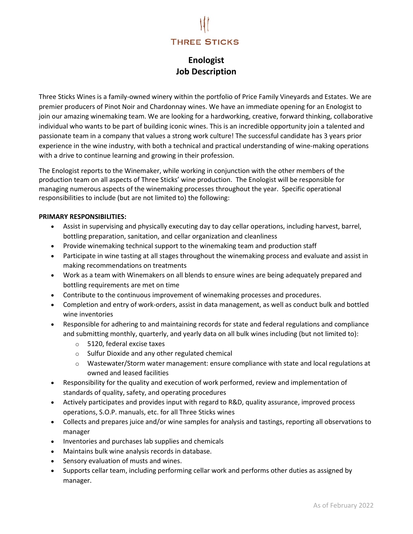# **THREE STICKS**

# Enologist Job Description

Three Sticks Wines is a family-owned winery within the portfolio of Price Family Vineyards and Estates. We are premier producers of Pinot Noir and Chardonnay wines. We have an immediate opening for an Enologist to join our amazing winemaking team. We are looking for a hardworking, creative, forward thinking, collaborative individual who wants to be part of building iconic wines. This is an incredible opportunity join a talented and passionate team in a company that values a strong work culture! The successful candidate has 3 years prior experience in the wine industry, with both a technical and practical understanding of wine-making operations with a drive to continue learning and growing in their profession.

The Enologist reports to the Winemaker, while working in conjunction with the other members of the production team on all aspects of Three Sticks' wine production. The Enologist will be responsible for managing numerous aspects of the winemaking processes throughout the year. Specific operational responsibilities to include (but are not limited to) the following:

#### PRIMARY RESPONSIBILITIES:

- Assist in supervising and physically executing day to day cellar operations, including harvest, barrel, bottling preparation, sanitation, and cellar organization and cleanliness
- Provide winemaking technical support to the winemaking team and production staff
- Participate in wine tasting at all stages throughout the winemaking process and evaluate and assist in making recommendations on treatments
- Work as a team with Winemakers on all blends to ensure wines are being adequately prepared and bottling requirements are met on time
- Contribute to the continuous improvement of winemaking processes and procedures.
- Completion and entry of work-orders, assist in data management, as well as conduct bulk and bottled wine inventories
- Responsible for adhering to and maintaining records for state and federal regulations and compliance and submitting monthly, quarterly, and yearly data on all bulk wines including (but not limited to):
	- o 5120, federal excise taxes
	- o Sulfur Dioxide and any other regulated chemical
	- o Wastewater/Storm water management: ensure compliance with state and local regulations at owned and leased facilities
- Responsibility for the quality and execution of work performed, review and implementation of standards of quality, safety, and operating procedures
- Actively participates and provides input with regard to R&D, quality assurance, improved process operations, S.O.P. manuals, etc. for all Three Sticks wines
- Collects and prepares juice and/or wine samples for analysis and tastings, reporting all observations to manager
- Inventories and purchases lab supplies and chemicals
- Maintains bulk wine analysis records in database.
- Sensory evaluation of musts and wines.
- Supports cellar team, including performing cellar work and performs other duties as assigned by manager.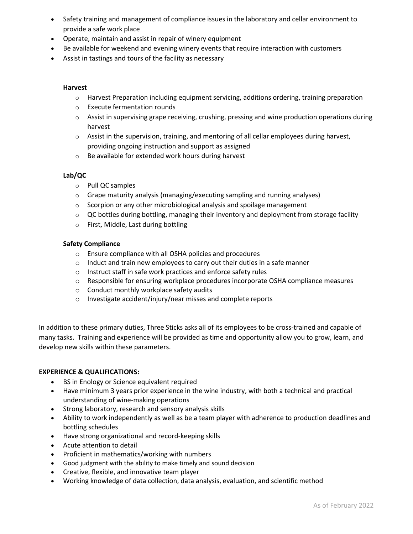- Safety training and management of compliance issues in the laboratory and cellar environment to provide a safe work place
- Operate, maintain and assist in repair of winery equipment
- Be available for weekend and evening winery events that require interaction with customers
- Assist in tastings and tours of the facility as necessary

#### Harvest

- $\circ$  Harvest Preparation including equipment servicing, additions ordering, training preparation
- o Execute fermentation rounds
- $\circ$  Assist in supervising grape receiving, crushing, pressing and wine production operations during harvest
- $\circ$  Assist in the supervision, training, and mentoring of all cellar employees during harvest, providing ongoing instruction and support as assigned
- o Be available for extended work hours during harvest

# Lab/QC

- o Pull QC samples
- $\circ$  Grape maturity analysis (managing/executing sampling and running analyses)
- o Scorpion or any other microbiological analysis and spoilage management
- $\circ$  QC bottles during bottling, managing their inventory and deployment from storage facility
- o First, Middle, Last during bottling

# Safety Compliance

- o Ensure compliance with all OSHA policies and procedures
- o Induct and train new employees to carry out their duties in a safe manner
- o Instruct staff in safe work practices and enforce safety rules
- $\circ$  Responsible for ensuring workplace procedures incorporate OSHA compliance measures
- o Conduct monthly workplace safety audits
- o Investigate accident/injury/near misses and complete reports

In addition to these primary duties, Three Sticks asks all of its employees to be cross-trained and capable of many tasks. Training and experience will be provided as time and opportunity allow you to grow, learn, and develop new skills within these parameters.

# EXPERIENCE & QUALIFICATIONS:

- BS in Enology or Science equivalent required
- Have minimum 3 years prior experience in the wine industry, with both a technical and practical understanding of wine-making operations
- Strong laboratory, research and sensory analysis skills
- Ability to work independently as well as be a team player with adherence to production deadlines and bottling schedules
- Have strong organizational and record-keeping skills
- Acute attention to detail
- Proficient in mathematics/working with numbers
- Good judgment with the ability to make timely and sound decision
- Creative, flexible, and innovative team player
- Working knowledge of data collection, data analysis, evaluation, and scientific method